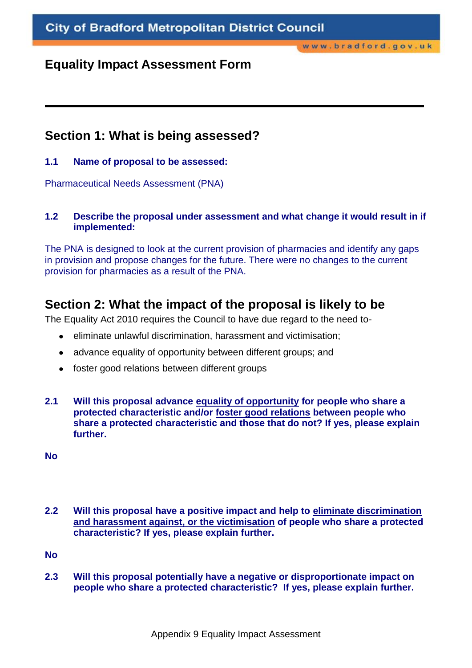## **Equality Impact Assessment Form**

## **Section 1: What is being assessed?**

### **1.1 Name of proposal to be assessed:**

Pharmaceutical Needs Assessment (PNA)

### **1.2 Describe the proposal under assessment and what change it would result in if implemented:**

The PNA is designed to look at the current provision of pharmacies and identify any gaps in provision and propose changes for the future. There were no changes to the current provision for pharmacies as a result of the PNA.

# **Section 2: What the impact of the proposal is likely to be**

The Equality Act 2010 requires the Council to have due regard to the need to-

- eliminate unlawful discrimination, harassment and victimisation;  $\bullet$
- advance equality of opportunity between different groups; and  $\bullet$
- foster good relations between different groups
- **2.1 Will this proposal advance equality of opportunity for people who share a protected characteristic and/or foster good relations between people who share a protected characteristic and those that do not? If yes, please explain further.**

**No**

**2.2 Will this proposal have a positive impact and help to eliminate discrimination and harassment against, or the victimisation of people who share a protected characteristic? If yes, please explain further.**

**No**

**2.3 Will this proposal potentially have a negative or disproportionate impact on people who share a protected characteristic? If yes, please explain further.**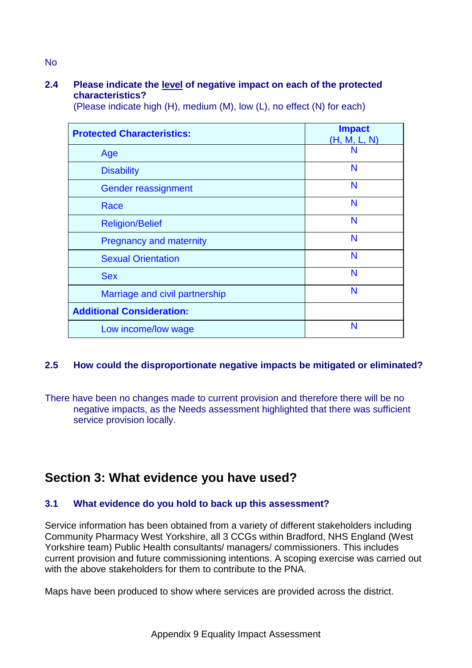### **2.4 Please indicate the level of negative impact on each of the protected characteristics?**

(Please indicate high (H), medium (M), low (L), no effect (N) for each)

| <b>Protected Characteristics:</b> | <b>Impact</b><br>(H, M, L, N) |
|-----------------------------------|-------------------------------|
| Age                               | N                             |
| <b>Disability</b>                 | N                             |
| Gender reassignment               | N                             |
| Race                              | N                             |
| <b>Religion/Belief</b>            | N                             |
| <b>Pregnancy and maternity</b>    | N                             |
| <b>Sexual Orientation</b>         | N                             |
| <b>Sex</b>                        | N                             |
| Marriage and civil partnership    | N                             |
| <b>Additional Consideration:</b>  |                               |
| Low income/low wage               | N                             |

### **2.5 How could the disproportionate negative impacts be mitigated or eliminated?**

There have been no changes made to current provision and therefore there will be no negative impacts, as the Needs assessment highlighted that there was sufficient service provision locally.

# **Section 3: What evidence you have used?**

#### **3.1 What evidence do you hold to back up this assessment?**

Service information has been obtained from a variety of different stakeholders including Community Pharmacy West Yorkshire, all 3 CCGs within Bradford, NHS England (West Yorkshire team) Public Health consultants/ managers/ commissioners. This includes current provision and future commissioning intentions. A scoping exercise was carried out with the above stakeholders for them to contribute to the PNA.

Maps have been produced to show where services are provided across the district.

No